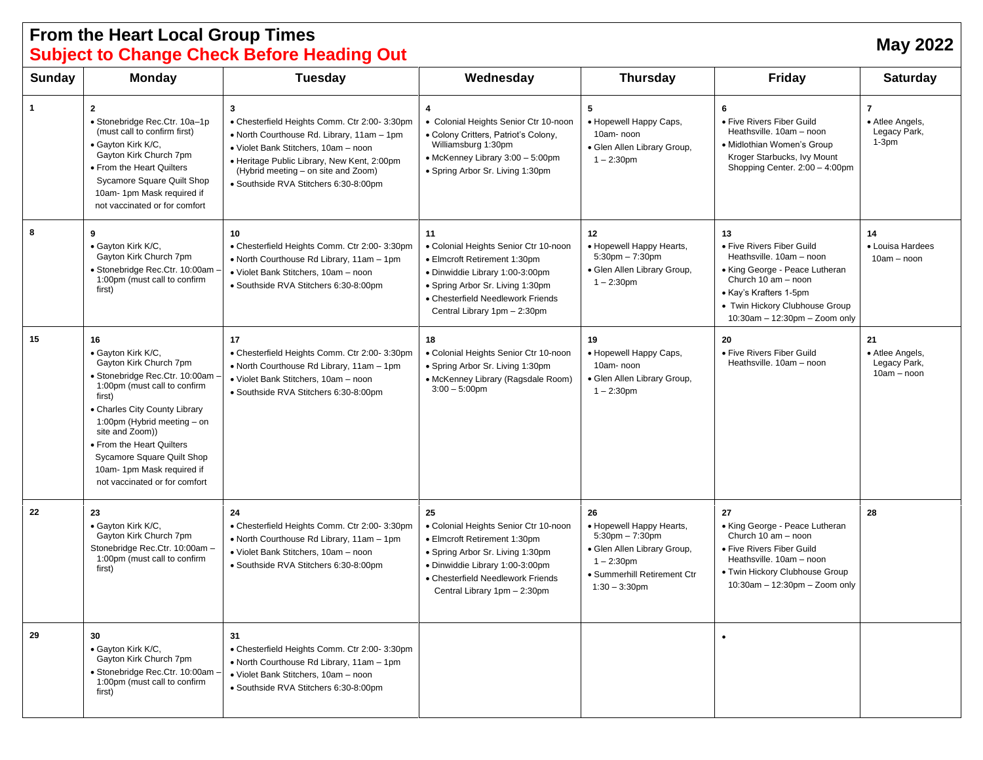## **From the Heart Local Group Times Subject to Change Check Before Heading Out May <sup>2022</sup>**

| Sunday | <b>Monday</b>                                                                                                                                                                                                                                                                                                                              | <b>Tuesday</b>                                                                                                                                                                                                                                                          | Wednesday                                                                                                                                                                                                               | <b>Thursday</b>                                                                                                                                           | <b>Friday</b>                                                                                                                                                                                                     | <b>Saturday</b>                                              |
|--------|--------------------------------------------------------------------------------------------------------------------------------------------------------------------------------------------------------------------------------------------------------------------------------------------------------------------------------------------|-------------------------------------------------------------------------------------------------------------------------------------------------------------------------------------------------------------------------------------------------------------------------|-------------------------------------------------------------------------------------------------------------------------------------------------------------------------------------------------------------------------|-----------------------------------------------------------------------------------------------------------------------------------------------------------|-------------------------------------------------------------------------------------------------------------------------------------------------------------------------------------------------------------------|--------------------------------------------------------------|
| 1      | $\overline{2}$<br>• Stonebridge Rec.Ctr. 10a-1p<br>(must call to confirm first)<br>· Gayton Kirk K/C,<br>Gayton Kirk Church 7pm<br>• From the Heart Quilters<br>Sycamore Square Quilt Shop<br>10am-1pm Mask required if<br>not vaccinated or for comfort                                                                                   | 3<br>• Chesterfield Heights Comm. Ctr 2:00- 3:30pm<br>• North Courthouse Rd. Library, 11am - 1pm<br>· Violet Bank Stitchers, 10am - noon<br>• Heritage Public Library, New Kent, 2:00pm<br>(Hybrid meeting – on site and Zoom)<br>· Southside RVA Stitchers 6:30-8:00pm | 4<br>• Colonial Heights Senior Ctr 10-noon<br>• Colony Critters, Patriot's Colony,<br>Williamsburg 1:30pm<br>• McKenney Library 3:00 - 5:00pm<br>• Spring Arbor Sr. Living 1:30pm                                       | 5<br>• Hopewell Happy Caps,<br>10am-noon<br>· Glen Allen Library Group,<br>$1 - 2:30$ pm                                                                  | 6<br>• Five Rivers Fiber Guild<br>Heathsville. 10am - noon<br>• Midlothian Women's Group<br>Kroger Starbucks, Ivy Mount<br>Shopping Center. 2:00 - 4:00pm                                                         | $\overline{7}$<br>• Atlee Angels,<br>Legacy Park,<br>$1-3pm$ |
| 8      | 9<br>· Gayton Kirk K/C,<br>Gayton Kirk Church 7pm<br>· Stonebridge Rec.Ctr. 10:00am ·<br>1:00pm (must call to confirm<br>first)                                                                                                                                                                                                            | 10<br>• Chesterfield Heights Comm. Ctr 2:00- 3:30pm<br>• North Courthouse Rd Library, 11am - 1pm<br>• Violet Bank Stitchers, 10am - noon<br>· Southside RVA Stitchers 6:30-8:00pm                                                                                       | 11<br>• Colonial Heights Senior Ctr 10-noon<br>• Elmcroft Retirement 1:30pm<br>· Dinwiddie Library 1:00-3:00pm<br>• Spring Arbor Sr. Living 1:30pm<br>• Chesterfield Needlework Friends<br>Central Library 1pm - 2:30pm | 12<br>• Hopewell Happy Hearts,<br>$5:30$ pm $-7:30$ pm<br>· Glen Allen Library Group,<br>$1 - 2:30$ pm                                                    | 13<br>• Five Rivers Fiber Guild<br>Heathsville, 10am - noon<br>• King George - Peace Lutheran<br>Church 10 am - noon<br>• Kay's Krafters 1-5pm<br>• Twin Hickory Clubhouse Group<br>10:30am - 12:30pm - Zoom only | 14<br>• Louisa Hardees<br>$10am - noon$                      |
| 15     | 16<br>· Gayton Kirk K/C,<br>Gayton Kirk Church 7pm<br>· Stonebridge Rec.Ctr. 10:00am<br>1:00pm (must call to confirm<br>first)<br>• Charles City County Library<br>1:00pm (Hybrid meeting - on<br>site and Zoom))<br>• From the Heart Quilters<br>Sycamore Square Quilt Shop<br>10am-1pm Mask required if<br>not vaccinated or for comfort | 17<br>• Chesterfield Heights Comm. Ctr 2:00- 3:30pm<br>• North Courthouse Rd Library, 11am - 1pm<br>• Violet Bank Stitchers, 10am - noon<br>· Southside RVA Stitchers 6:30-8:00pm                                                                                       | 18<br>• Colonial Heights Senior Ctr 10-noon<br>· Spring Arbor Sr. Living 1:30pm<br>• McKenney Library (Ragsdale Room)<br>$3:00 - 5:00$ pm                                                                               | 19<br>• Hopewell Happy Caps,<br>10am-noon<br>· Glen Allen Library Group,<br>$1 - 2:30$ pm                                                                 | 20<br>· Five Rivers Fiber Guild<br>Heathsville, 10am - noon                                                                                                                                                       | 21<br>• Atlee Angels,<br>Legacy Park,<br>$10am - noon$       |
| 22     | 23<br>· Gayton Kirk K/C,<br>Gayton Kirk Church 7pm<br>Stonebridge Rec.Ctr. 10:00am -<br>1:00pm (must call to confirm<br>first)                                                                                                                                                                                                             | 24<br>• Chesterfield Heights Comm. Ctr 2:00- 3:30pm<br>• North Courthouse Rd Library, 11am - 1pm<br>· Violet Bank Stitchers, 10am - noon<br>· Southside RVA Stitchers 6:30-8:00pm                                                                                       | 25<br>• Colonial Heights Senior Ctr 10-noon<br>• Elmcroft Retirement 1:30pm<br>• Spring Arbor Sr. Living 1:30pm<br>· Dinwiddie Library 1:00-3:00pm<br>• Chesterfield Needlework Friends<br>Central Library 1pm - 2:30pm | 26<br>• Hopewell Happy Hearts,<br>$5:30$ pm $-7:30$ pm<br>· Glen Allen Library Group,<br>$1 - 2:30$ pm<br>• Summerhill Retirement Ctr<br>$1:30 - 3:30$ pm | 27<br>• King George - Peace Lutheran<br>Church 10 am - noon<br>· Five Rivers Fiber Guild<br>Heathsville. 10am - noon<br>· Twin Hickory Clubhouse Group<br>10:30am - 12:30pm - Zoom only                           | 28                                                           |
| 29     | 30<br>· Gayton Kirk K/C,<br>Gayton Kirk Church 7pm<br>· Stonebridge Rec.Ctr. 10:00am<br>1:00pm (must call to confirm<br>first)                                                                                                                                                                                                             | 31<br>• Chesterfield Heights Comm. Ctr 2:00- 3:30pm<br>• North Courthouse Rd Library, 11am - 1pm<br>· Violet Bank Stitchers, 10am - noon<br>· Southside RVA Stitchers 6:30-8:00pm                                                                                       |                                                                                                                                                                                                                         |                                                                                                                                                           | $\bullet$                                                                                                                                                                                                         |                                                              |